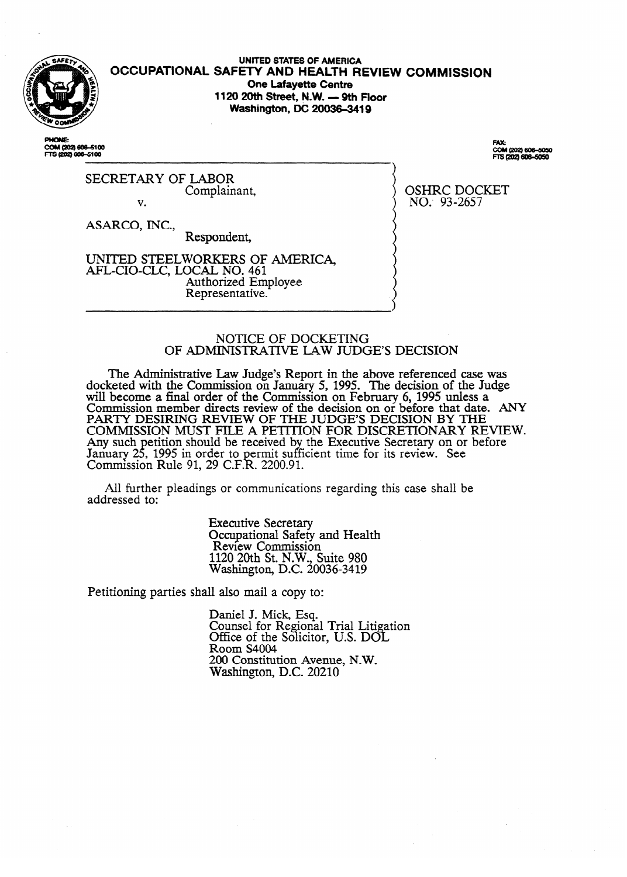

**OCCUPATIONAL SAFETY AND HEALTH REVIEW COMMISSION UNITED STATES OF AMERICA One Lafayette Centre 1120 20th Street, N.W. - 9th Floor Washington, DC 20036-3419** 

COM (202) 606-5100 FTS (202) 606-5100

COM (202) 606-5050 FTS (202) 606-5050

OSHRC DOCKET NO: 93-2657

SECRETARY OF LABOR Complainant, v.

ASARCO, INC.,

Respondent,

UNITED STEELWORKERS OF AMERICA, Authorized Employee Authorized Employee Representative.

# NOTICE OF DOCKETING<br>OF ADMINISTRATIVE LAW JUDGE'S DECISION OF ADMINISTRATIVE LAW JUDGE'S DECISION

Report in the Administrative Law Judge's Report in the above referenced case was will become a final order of the Commission on February 6, 1995 unless a Commission member directs review of the decision on or before that date. PARTY DESIRING REVIEW OF THE JUDGE'S DECISION BY THE COMMISSION MUST FILE A PETITION FOR DISCRETIONARY RE Any such petition should be received by the Executive Secretary on or before January 25, 1995 in order to permit sufficient time for its review. See Commission Rule 91, 29 C.F.R. 2200.91. Comrmssion Rule 91, 29 C.F. . 2200.91.

addressed to:

**Executive Secretary** Occupational Safety and Health Review Commission  $120$  20th St. N.W.,  $\frac{120}{120}$ Washington, D.C. 20036-3419

Petitioning parties shall also mail a copy to:

Petitioning parties shall also mail a copy to: Counsel for Regiona Office of the Solicitor, U.S. DOL  $800 \text{ m}$  S4004  $200$  Constitut Washington, D.C. 20210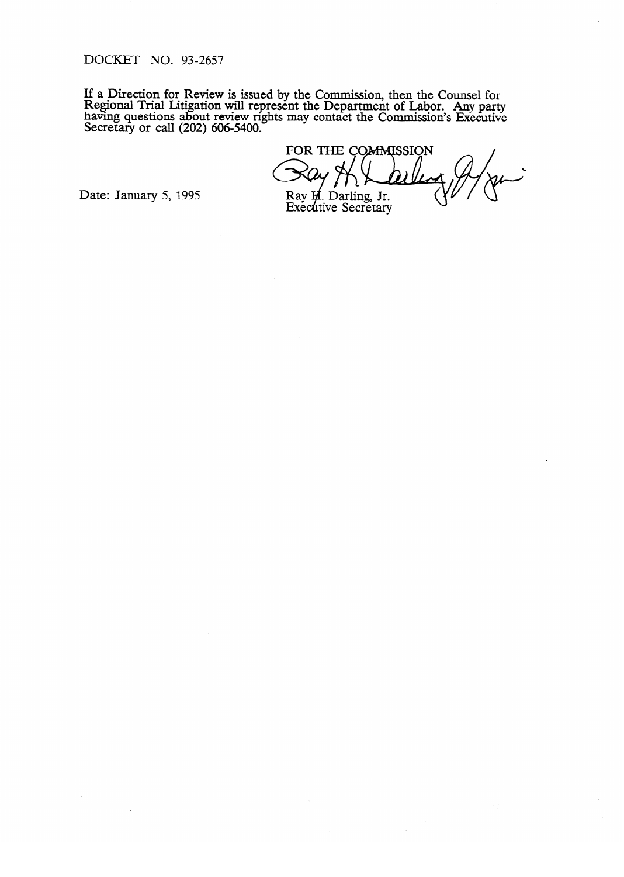DOCKET NO. 93-2657

If a Direction for Review is issued by the Commission, then the Counsel for<br>Regional Trial I itigation will conceant the Department of Labor. Any next Regional Trial Linguion will represent the Department of Labor. Any party having questions about review nghts may contact the Commission's Executive  $S$ ecretary or call (202) 600-5400.

FOR THE COMMISSION

Date: January 5, 1995

Ray H. Darling, Jr.<br>Executive Secretary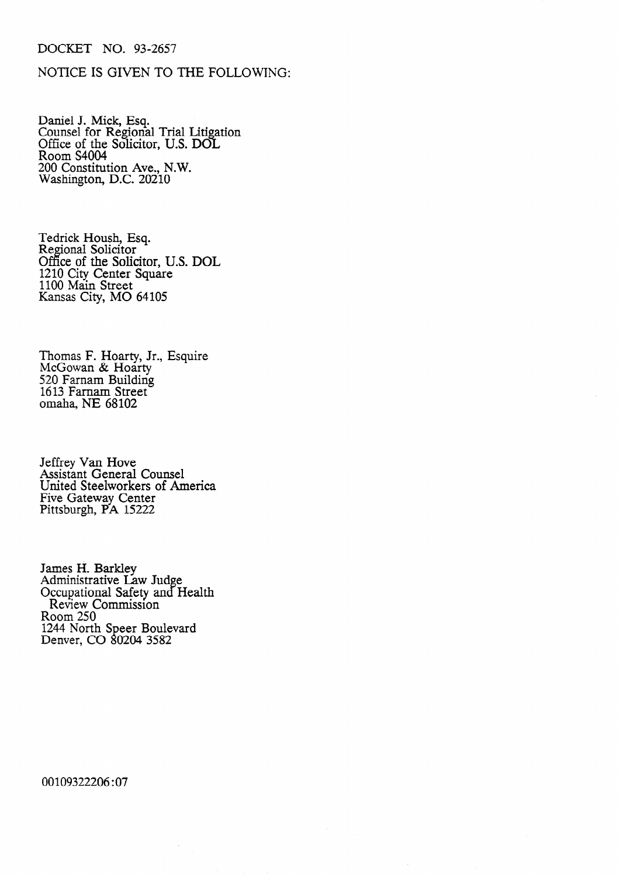# DOCKET NO. 93-2657

# NOTICE IS GIVEN TO THE FOLLOWING:

Daniel J. Mick, Esq. Counsel for Regional Trial Litigation Office of the Solicitor, U.S. DOL Room S4004 200 Constitution Ave., N.W. Washington, D.C. 20210

Tedrick Housh, Esq. Regional Solicitor Office of the Solicitor, U.S. DOL 1210 City Center Square 1100 Main Street Kansas City, MO 64105

Thomas F. Hoarty, Jr., Esquire McGowan & Hoarty 520 Farnam Building 1613 Farnam Street Omaha, NE 68102

Jeffrey Van Hove Assistant General Counsel United Steelworkers of America Five Gateway Center Pittsburgh, PA 15222

James H. Barkley Administrative Law Judge Occupational Safety and Health Review Commission Room 250 1244 North Speer Boulevard Denver, CO 80204 3582

00109322206 :07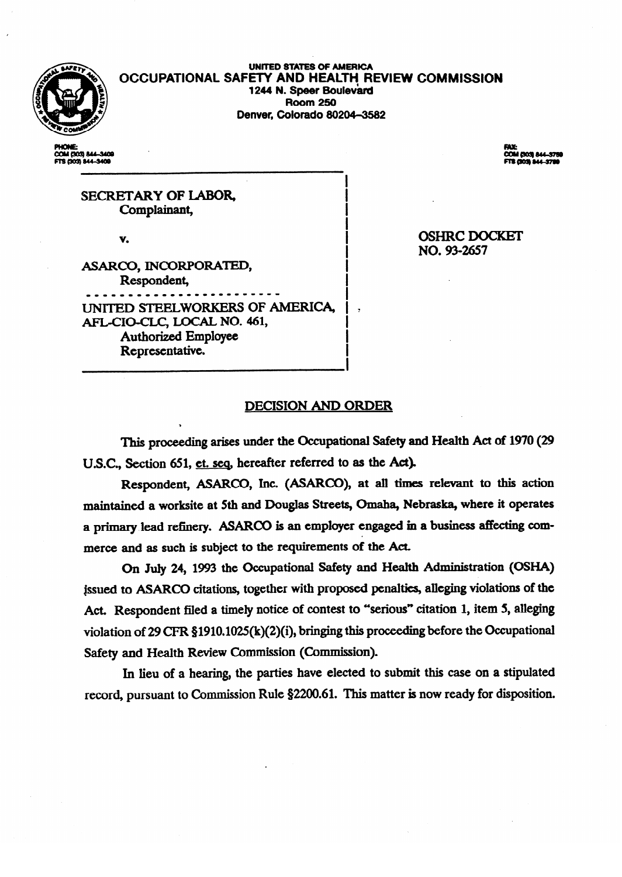

UNITED STATES Of AMERICA **OCCUPATIONAL SAFETY AND HEALTH REVIEW COMMISSION 1244 N. Speer Boulevard Room 250 Room 250 Denver, Colorado 802044582** 

COM (303) 844-3409<br>FTS (303) 844-3409

**PAC**<br>COM (303) 844-5759<br>FTS (303) 844-5789

SECRETARY OF LABOR,<br>Complainant,  $\overline{\phantom{a}}$ 

v. In the second control of the second control of

I ASARCO, INCORPORATED, Respondent, erries in de la provincia de la provincia de la provincia de la provincia de la provincia de la provincia del<br>En 1980, ISBN 978-1980, ISBN 978-1980, ISBN 978-1980, ISBN 978-1980, ISBN 978-1980, ISBN 978-1980, ISBN 978-19 UNITED STEELWORKERS OF AMERICA, AFL-CIO-CLC, LOCAL NO. 461, Authorized Employee Representative.

representative. In the experimental product of the experimental product of the experimental product of the experimental product of the experimental product of the experimental product of the experimental product of the exp

**OSHRC DOCKET** NO. 93-2657

.

# **DECISION AND ORDER**

I

This proceeding arises under the Occupational Safety and Health Act of 1970 (29 U.S.C., Section 651, et. seq, hereafter referred to as the Act).

Respondent, ASARCO, Inc. (ASARCO), at all times relevant to this action maintained a worksite at 5th and Douglas Streets, Omaha, Nebraska, where it operates a primary lead refinery. ASARCO is an employer engaged in a business affecting commerce and as such is subject to the requirements of the Act.

On July 24, 1993 the Occupational Safety and Health Administration (OSHA) issued to ASARCO citations, together with proposed penalties, alleging violations of the Act. Respondent filed a timely notice of contest to "serious" citation 1, item 5, alleging violation of 29 CFR §1910.1025( $k$ )(2)(i), bringing this proceeding before the Occupational Safety and Health Review Commission (Commission).

In lieu of a hearing, the parties have elected to submit this case on a stipulated record, pursuant to Commission Rule §2200.61. This matter is now ready for disposition.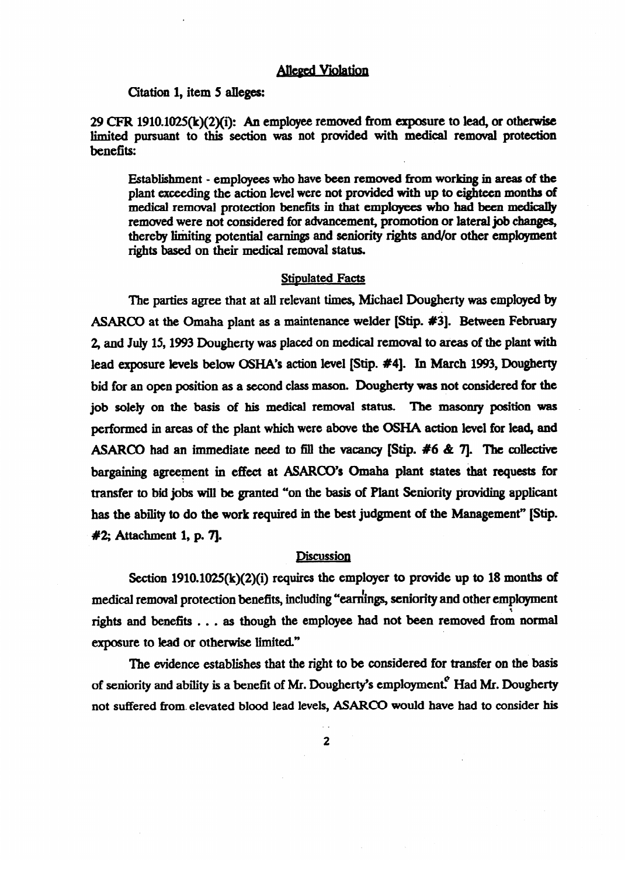## **Alleged Violation**

**Citation** 1, **item 5 alleges:** 

**#2; Attachment** 1, **p. 7].** 

29 CFR 1910.1025(k)(2)(i): An employee removed from exposure to lead, or otherwise limited pursuant to this section was not provided with medical removal protection benefits:

Establishment - employees who have been remwed from working in areas of the plant exceeding the action level were not **provided with up to eighteen months of**  medical removal protection benefits in that employees who had been medically removed were not considered for advancement, promotion or lateral job changes, thereby limiting potential earnings and seniority rights and/or other employment rights based on their medical removal status.

#### **Stipulated Facts**

The parties agree that at all relevant times, Michael Dougherty was employed by ASARCO at the Omaha plant as a maintenance welder **[Stip. #3).** Between Februaq 2, and July 15, 1993 Dougherty was placed on medical removal to areas of the plant with lead exposure levels below OSHA's action level **[Stip. #4]. In March 1993, Dougherty**  bid for an open position as a second class mason. Dougherty was not considered for the job solely on the basis of his medical removal status. The masonry position was performed in areas of the plant which were above the OSHA action level for lead, and<br>ASARCO had an immediate need to fill the vacancy [Stip. #6 & 7]. The collective bargaining agreement in effect at ASARCO's Omaha plant states that requests for **bargaining agreement in each in the state at ASARCD's at ASARCD's incredible and conditions** has the ability to do the work required in the best judgment of the Management" [Stip. has the ability to **do the work required** in the best judgment of the Management" **[Stip.** 

## **Discussion**

Section  $1910.1025(k)(2)(i)$  requires the employer to provide up to 18 months of medical removal protection benefits, including "earnings, seniority and other employment rights and benefits . . . as though the employee had not been removed from normal exposure to lead or otherwise limited."

The evidence establishes that the right to be considered for transfer on the basis of seniority and ability is a benefit of Mr. Dougherty's employment. Had Mr. Dougherty not suffered from elevated blood lead levels, ASARCO would have had to consider his

not suffered from. elevated blood lead levels, ASARm would have had to consider his  $\overline{2}$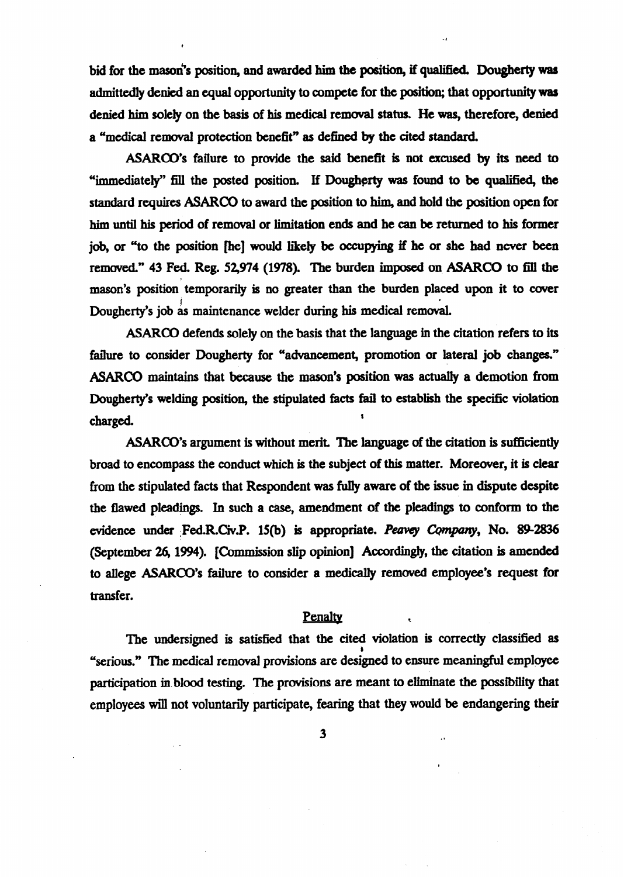bid for the mason's position, and awarded him the position, if qualified. Dougherty was admittedly denied an equal opportunity to compete **for the** position; that opportunity was denied him solely on the basis of his medical remwal status. He was, therefore, **denied**  a Umedical **removal** protection benefit" as defined by the cited standard.

ASARCO's failure to provide the said benefit is not excused by its need to %mediately" fill the posted position. If Dougherty was **found to be qualified, the**  standard **requires ASARCO to** award the position **to him, and hold the position open for**  him until his period of removal or **limitation** ends **and he can be** returned to his former job, or "to the position [he] would likely be occupying if he or she had never been removed." 43 Fed. Reg. 52,974 (1978). The burden imposed on ASARCO to fill the mason's position temporarily is no greater than the burden placed upon **it** to cover Dougherty's job as maintenance welder during his medical removal.

ASARCO defends solely on the basis that the language in the citation refers to its failure to consider Dougherty for "advancement, promotion or lateral job changes." ASARCO maintains that because the mason's position was actually a demotion from Dougherty's welding position, the stipulated facts fail to establish the specific violation charged. \*

ASARCO's argument is without merit. The language of the citation is sufficiently broad to encompass the conduct which is the subject **of** this matter. **Moreover, it is** clear from the stipulated facts that Respondent was fully aware of the issue in dispute despite the flawed pleadings. In such a case, amendment **of the** pleadings to conform to the evidence under Fed.R.Civ.P. 15(b) is appropriate. *Peavey Company*, No. 89-2836 (September 26, 1994). [Commission slip opinion] Accordingly, the citation is amended to aIlege ASARCO's failure to consider a medically **remwed** employee's request **for**  transfer.

## Penalty

The undersigned is satisfied that the cited violation is correctly classified as "serious." The medical removal provisions are designed to ensure meaningful employee participation in.blood testing. The provisions are meant to eliminate the possibility that employees will not voluntarily participate, fearing that they would be endangering their